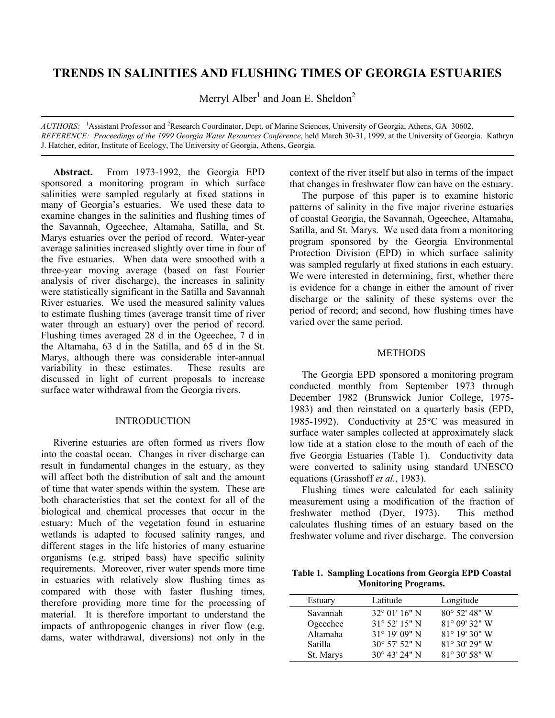# **TRENDS IN SALINITIES AND FLUSHING TIMES OF GEORGIA ESTUARIES**

Merryl Alber<sup>1</sup> and Joan E. Sheldon<sup>2</sup>

AUTHORS: <sup>1</sup>Assistant Professor and <sup>2</sup>Research Coordinator, Dept. of Marine Sciences, University of Georgia, Athens, GA 30602. *REFERENCE: Proceedings of the 1999 Georgia Water Resources Conference*, held March 30-31, 1999, at the University of Georgia. Kathryn J. Hatcher, editor, Institute of Ecology, The University of Georgia, Athens, Georgia.

**Abstract.** From 1973-1992, the Georgia EPD sponsored a monitoring program in which surface salinities were sampled regularly at fixed stations in many of Georgia's estuaries. We used these data to examine changes in the salinities and flushing times of the Savannah, Ogeechee, Altamaha, Satilla, and St. Marys estuaries over the period of record. Water-year average salinities increased slightly over time in four of the five estuaries. When data were smoothed with a three-year moving average (based on fast Fourier analysis of river discharge), the increases in salinity were statistically significant in the Satilla and Savannah River estuaries. We used the measured salinity values to estimate flushing times (average transit time of river water through an estuary) over the period of record. Flushing times averaged 28 d in the Ogeechee, 7 d in the Altamaha, 63 d in the Satilla, and 65 d in the St. Marys, although there was considerable inter-annual variability in these estimates. These results are discussed in light of current proposals to increase surface water withdrawal from the Georgia rivers.

## INTRODUCTION

Riverine estuaries are often formed as rivers flow into the coastal ocean. Changes in river discharge can result in fundamental changes in the estuary, as they will affect both the distribution of salt and the amount of time that water spends within the system. These are both characteristics that set the context for all of the biological and chemical processes that occur in the estuary: Much of the vegetation found in estuarine wetlands is adapted to focused salinity ranges, and different stages in the life histories of many estuarine organisms (e.g. striped bass) have specific salinity requirements. Moreover, river water spends more time in estuaries with relatively slow flushing times as compared with those with faster flushing times, therefore providing more time for the processing of material. It is therefore important to understand the impacts of anthropogenic changes in river flow (e.g. dams, water withdrawal, diversions) not only in the context of the river itself but also in terms of the impact that changes in freshwater flow can have on the estuary.

The purpose of this paper is to examine historic patterns of salinity in the five major riverine estuaries of coastal Georgia, the Savannah, Ogeechee, Altamaha, Satilla, and St. Marys. We used data from a monitoring program sponsored by the Georgia Environmental Protection Division (EPD) in which surface salinity was sampled regularly at fixed stations in each estuary. We were interested in determining, first, whether there is evidence for a change in either the amount of river discharge or the salinity of these systems over the period of record; and second, how flushing times have varied over the same period.

## **METHODS**

The Georgia EPD sponsored a monitoring program conducted monthly from September 1973 through December 1982 (Brunswick Junior College, 1975- 1983) and then reinstated on a quarterly basis (EPD, 1985-1992). Conductivity at 25°C was measured in surface water samples collected at approximately slack low tide at a station close to the mouth of each of the five Georgia Estuaries (Table 1). Conductivity data were converted to salinity using standard UNESCO equations (Grasshoff *et al.*, 1983).

Flushing times were calculated for each salinity measurement using a modification of the fraction of freshwater method (Dyer, 1973). This method calculates flushing times of an estuary based on the freshwater volume and river discharge. The conversion

**Table 1. Sampling Locations from Georgia EPD Coastal Monitoring Programs.**

| Estuary        | Latitude               | Longitude               |
|----------------|------------------------|-------------------------|
| Savannah       | $32^{\circ}$ 01' 16" N | $80^{\circ}$ 52' 48" W  |
| Ogeechee       | $31^{\circ}$ 52' 15" N | 81° 09' 32" W           |
| Altamaha       | $31^{\circ}$ 19' 09" N | $81^{\circ}$ 19' 30" W  |
| <b>Satilla</b> | $30^{\circ}$ 57' 52" N | $81^{\circ} 30' 29''$ W |
| St. Marys      | $30^{\circ}$ 43' 24" N | $81^{\circ} 30' 58''$ W |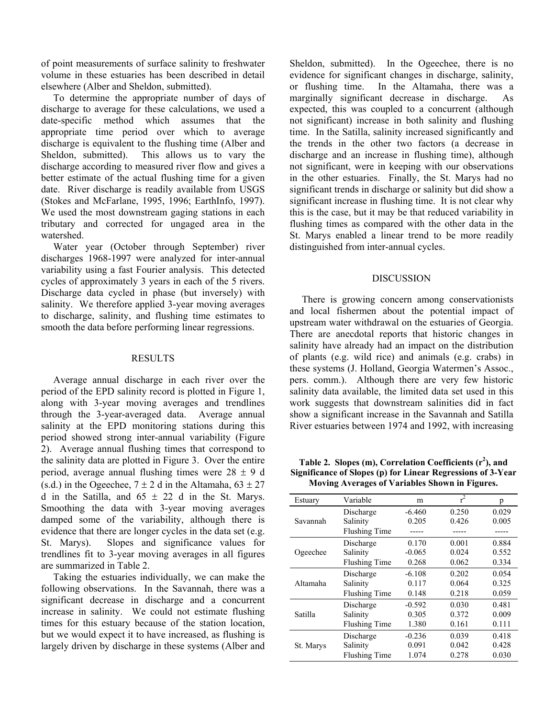of point measurements of surface salinity to freshwater volume in these estuaries has been described in detail elsewhere (Alber and Sheldon, submitted).

To determine the appropriate number of days of discharge to average for these calculations, we used a date-specific method which assumes that the appropriate time period over which to average discharge is equivalent to the flushing time (Alber and Sheldon, submitted). This allows us to vary the discharge according to measured river flow and gives a better estimate of the actual flushing time for a given date. River discharge is readily available from USGS (Stokes and McFarlane, 1995, 1996; EarthInfo, 1997). We used the most downstream gaging stations in each tributary and corrected for ungaged area in the watershed.

Water year (October through September) river discharges 1968-1997 were analyzed for inter-annual variability using a fast Fourier analysis. This detected cycles of approximately 3 years in each of the 5 rivers. Discharge data cycled in phase (but inversely) with salinity. We therefore applied 3-year moving averages to discharge, salinity, and flushing time estimates to smooth the data before performing linear regressions.

# RESULTS

Average annual discharge in each river over the period of the EPD salinity record is plotted in Figure 1, along with 3-year moving averages and trendlines through the 3-year-averaged data. Average annual salinity at the EPD monitoring stations during this period showed strong inter-annual variability (Figure 2). Average annual flushing times that correspond to the salinity data are plotted in Figure 3. Over the entire period, average annual flushing times were  $28 \pm 9$  d (s.d.) in the Ogeechee,  $7 \pm 2$  d in the Altamaha,  $63 \pm 27$ d in the Satilla, and  $65 \pm 22$  d in the St. Marys. Smoothing the data with 3-year moving averages damped some of the variability, although there is evidence that there are longer cycles in the data set (e.g. St. Marys). Slopes and significance values for trendlines fit to 3-year moving averages in all figures are summarized in Table 2.

Taking the estuaries individually, we can make the following observations. In the Savannah, there was a significant decrease in discharge and a concurrent increase in salinity. We could not estimate flushing times for this estuary because of the station location, but we would expect it to have increased, as flushing is largely driven by discharge in these systems (Alber and

Sheldon, submitted). In the Ogeechee, there is no evidence for significant changes in discharge, salinity, or flushing time. In the Altamaha, there was a marginally significant decrease in discharge. As expected, this was coupled to a concurrent (although not significant) increase in both salinity and flushing time. In the Satilla, salinity increased significantly and the trends in the other two factors (a decrease in discharge and an increase in flushing time), although not significant, were in keeping with our observations in the other estuaries. Finally, the St. Marys had no significant trends in discharge or salinity but did show a significant increase in flushing time. It is not clear why this is the case, but it may be that reduced variability in flushing times as compared with the other data in the St. Marys enabled a linear trend to be more readily distinguished from inter-annual cycles.

#### DISCUSSION

There is growing concern among conservationists and local fishermen about the potential impact of upstream water withdrawal on the estuaries of Georgia. There are anecdotal reports that historic changes in salinity have already had an impact on the distribution of plants (e.g. wild rice) and animals (e.g. crabs) in these systems (J. Holland, Georgia Watermen's Assoc., pers. comm.). Although there are very few historic salinity data available, the limited data set used in this work suggests that downstream salinities did in fact show a significant increase in the Savannah and Satilla River estuaries between 1974 and 1992, with increasing

**Table 2. Slopes (m), Correlation Coefficients (r<sup>2</sup> ), and Significance of Slopes (p) for Linear Regressions of 3-Year Moving Averages of Variables Shown in Figures.** 

| Estuary   | Variable             | m        | $r^2$ | p     |
|-----------|----------------------|----------|-------|-------|
| Savannah  | Discharge            | $-6.460$ | 0.250 | 0.029 |
|           | Salinity             | 0.205    | 0.426 | 0.005 |
|           | <b>Flushing Time</b> |          |       |       |
| Ogeechee  | Discharge            | 0.170    | 0.001 | 0.884 |
|           | Salinity             | $-0.065$ | 0.024 | 0.552 |
|           | <b>Flushing Time</b> | 0.268    | 0.062 | 0.334 |
| Altamaha  | Discharge            | $-6.108$ | 0.202 | 0.054 |
|           | Salinity             | 0.117    | 0.064 | 0.325 |
|           | <b>Flushing Time</b> | 0.148    | 0.218 | 0.059 |
| Satilla   | Discharge            | $-0.592$ | 0.030 | 0.481 |
|           | Salinity             | 0.305    | 0.372 | 0.009 |
|           | <b>Flushing Time</b> | 1.380    | 0.161 | 0.111 |
| St. Marys | Discharge            | $-0.236$ | 0.039 | 0.418 |
|           | Salinity             | 0.091    | 0.042 | 0.428 |
|           | <b>Flushing Time</b> | 1.074    | 0.278 | 0.030 |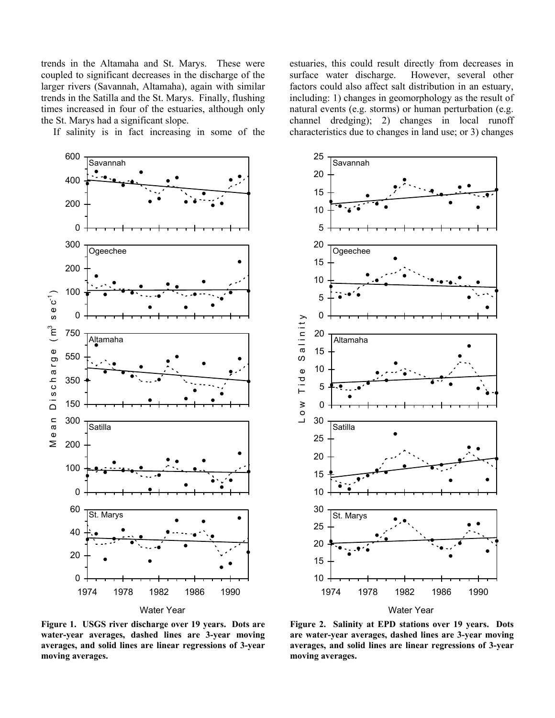trends in the Altamaha and St. Marys. These were coupled to significant decreases in the discharge of the larger rivers (Savannah, Altamaha), again with similar trends in the Satilla and the St. Marys. Finally, flushing times increased in four of the estuaries, although only the St. Marys had a significant slope.

If salinity is in fact increasing in some of the



estuaries, this could result directly from decreases in surface water discharge. However, several other factors could also affect salt distribution in an estuary, including: 1) changes in geomorphology as the result of natural events (e.g. storms) or human perturbation (e.g. channel dredging); 2) changes in local runoff characteristics due to changes in land use; or 3) changes



**Figure 1. USGS river discharge over 19 years. Dots are water-year averages, dashed lines are 3-year moving averages, and solid lines are linear regressions of 3-year moving averages.** 

**Figure 2. Salinity at EPD stations over 19 years. Dots are water-year averages, dashed lines are 3-year moving averages, and solid lines are linear regressions of 3-year moving averages.**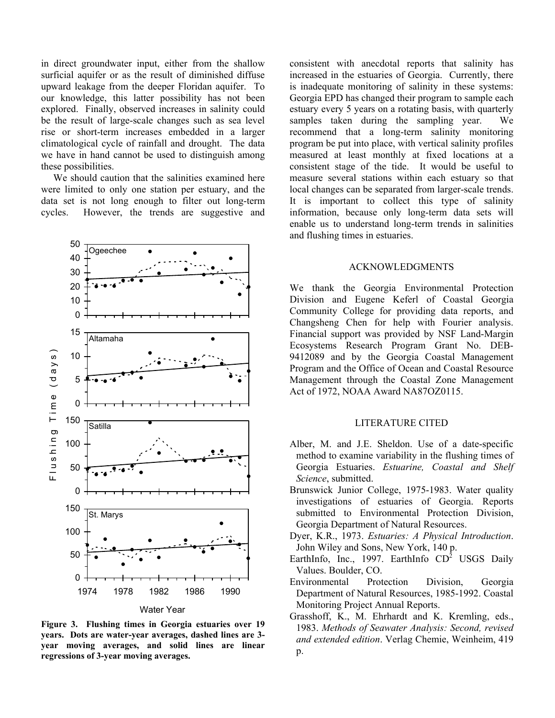in direct groundwater input, either from the shallow surficial aquifer or as the result of diminished diffuse upward leakage from the deeper Floridan aquifer. To our knowledge, this latter possibility has not been explored. Finally, observed increases in salinity could be the result of large-scale changes such as sea level rise or short-term increases embedded in a larger climatological cycle of rainfall and drought. The data we have in hand cannot be used to distinguish among these possibilities.

We should caution that the salinities examined here were limited to only one station per estuary, and the data set is not long enough to filter out long-term cycles. However, the trends are suggestive and



**Figure 3. Flushing times in Georgia estuaries over 19 years. Dots are water-year averages, dashed lines are 3 year moving averages, and solid lines are linear regressions of 3-year moving averages.**

consistent with anecdotal reports that salinity has increased in the estuaries of Georgia. Currently, there is inadequate monitoring of salinity in these systems: Georgia EPD has changed their program to sample each estuary every 5 years on a rotating basis, with quarterly samples taken during the sampling year. We recommend that a long-term salinity monitoring program be put into place, with vertical salinity profiles measured at least monthly at fixed locations at a consistent stage of the tide. It would be useful to measure several stations within each estuary so that local changes can be separated from larger-scale trends. It is important to collect this type of salinity information, because only long-term data sets will enable us to understand long-term trends in salinities and flushing times in estuaries.

#### ACKNOWLEDGMENTS

We thank the Georgia Environmental Protection Division and Eugene Keferl of Coastal Georgia Community College for providing data reports, and Changsheng Chen for help with Fourier analysis. Financial support was provided by NSF Land-Margin Ecosystems Research Program Grant No. DEB-9412089 and by the Georgia Coastal Management Program and the Office of Ocean and Coastal Resource Management through the Coastal Zone Management Act of 1972, NOAA Award NA87OZ0115.

## LITERATURE CITED

- Alber, M. and J.E. Sheldon. Use of a date-specific method to examine variability in the flushing times of Georgia Estuaries. *Estuarine, Coastal and Shelf Science*, submitted.
- Brunswick Junior College, 1975-1983. Water quality investigations of estuaries of Georgia. Reports submitted to Environmental Protection Division, Georgia Department of Natural Resources.
- Dyer, K.R., 1973. *Estuaries: A Physical Introduction*. John Wiley and Sons, New York, 140 p.
- EarthInfo, Inc., 1997. EarthInfo  $CD^2$  USGS Daily Values. Boulder, CO.
- Environmental Protection Division, Georgia Department of Natural Resources, 1985-1992. Coastal Monitoring Project Annual Reports.
- Grasshoff, K., M. Ehrhardt and K. Kremling, eds., 1983. *Methods of Seawater Analysis: Second, revised and extended edition*. Verlag Chemie, Weinheim, 419 p.